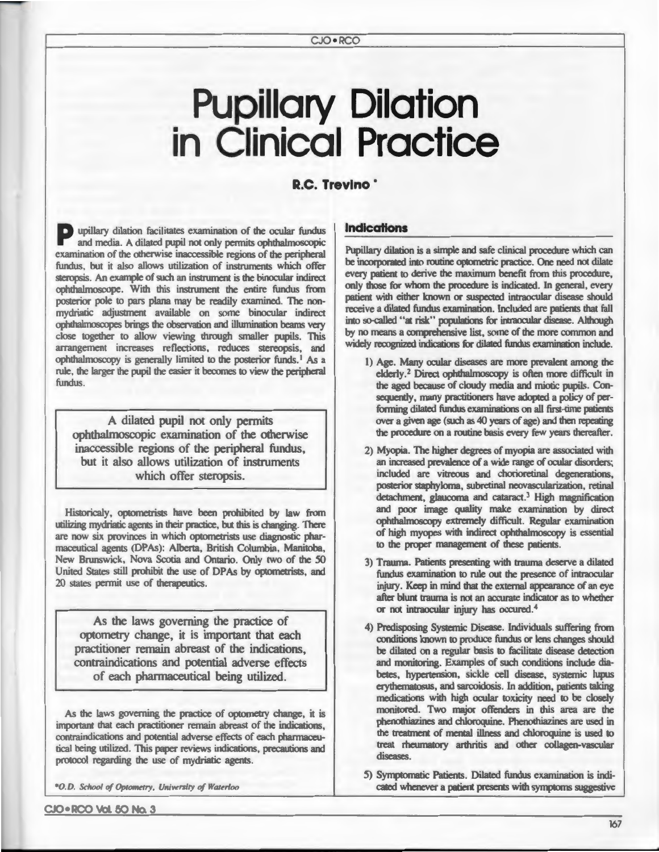# **Pupillary Dilation in Clinical Practice**

#### **R.C. Trevino** ·

P upillary dilation facilitates examination of the ocular fundus and media. A dilated pupil not only permits ophthalmoscopic examination of the otherwise inaccessible regions of the peripheral fundus, but it also allows utilization of instruments which offer steropsis. An example of such an instrument is the binocular indirect ophthalmoscope. With this instrument the entire fundus from posterior pole to pars plana may be readily examined. The nonmydriatic adjustment available on some binocular indirect ophthalmoscopes brings the observation and illumination beams very close together to allow viewing through smaller pupils. This arrangement increases reflections, reduces stereopsis, and ophthalmoscopy is generally limited to the posterior funds.<sup>1</sup> As a rule, the larger the pupil the easier it becomes to view the peripheral fundus.

A dilated pupil not only permits ophthalmoscopic examination of the otherwise inaccessible regions of the peripheral fundus, but it also allows utilization of instruments which offer steropsis.

Historicaly, optometrists have been prohibited by law from utilizing mydriatic agents in their practice, but this is changing. There are now six provinces in which optometrists use diagnostic pharmaceutical agents (DPAs): Alberta, British Columbia, Manitoba, New Brunswick, Nova Scotia and Ontario. Only two of the 50 United States still prohibit the use of DPAs by optometrists, and 20 states permit use of therapeutics.

As the laws governing the practice of optometry change, it is important that each practitioner remain abreast of the indications. contraindications and potential adverse effects of each pharmaceutical being utilized.

As the laws governing the practice of optometry change, it is important that each practitioner remain abreast of the indications, contraindications and potential adverse effects of each pharmaceutical being utilized. This paper reviews indications, precautions and protocol regarding the use of mydriatic agents.

\*O.D. School of Optometry, University of Waterloo

**Indications** 

Pupillary dilation is a simple and safe clinical procedure which can be incorporated into routine optometric practice. One need not dilate every patient to derive the maximum benefit from this procedure, only those for whom the procedure is indicated. In general, every patient with either known or suspected intraocular disease should receive a dilated fundus examination. Included are patients that fall into so-called "at risk" populations for intraocular disease. Although by no means a comprehensive list, some of the more common and widely recognized indications for dilated fundus examination include.

- 1) Age. Many ocular diseases are more prevalent among the elderly.<sup>2</sup> Direct ophthalmoscopy is often more difficult in the aged because of cloudy media and miotic pupils. Consequently, many practitioners have adopted a policy of performing dilated fundus examinations on all first-time patients over a given age (such as 40 years of age) and then repeating the procedure on a routine basis every few years thereafter.
- 2) Myopia. The higher degrees of myopia are associated with an increased prevalence of a wide range of ocular disorders; included are vitreous and chorioretinal degenerations, posterior staphyloma, subretinal neovascularization, retinal detachment, glaucoma and cataract.<sup>3</sup> High magnification and poor image quality make examination by direct ophthalmoscopy extremely difficult. Regular examination of high myopes with indirect ophthalmoscopy is essential to the proper management of these patients.
- 3) Trauma. Patients presenting with trauma deserve a dilated fundus examination to rule out the presence of intraocular injury. Keep in mind that the external appearance of an eye after blunt trauma is not an accurate indicator as to whether or not intraocular injury has occured.4
- 4) Predisposing Systemic Disease. Individuals suffering from conditions known to produce fundus or lens changes should be dilated on a regular basis to facilitate disease detection and monitoring. Examples of such conditions include diabetes, hypertension, sickle cell disease, systemic lupus erythematosus, and sarcoidosis. In addition, patients taking medications with high ocular toxicity need to be closely monitored. Two major offenders in this area are the phenothiazines and chloroquine. Phenothiazines are used in the treatment of mental illness and chloroquine is used to treat rheumatory arthritis and other collagen-vascular diseases.
- 5) Symptomatic Patients. Dilated fundus examination is indicated whenever a patient presents with symptoms suggestive

CJO • RCO Vol. 50 No. 3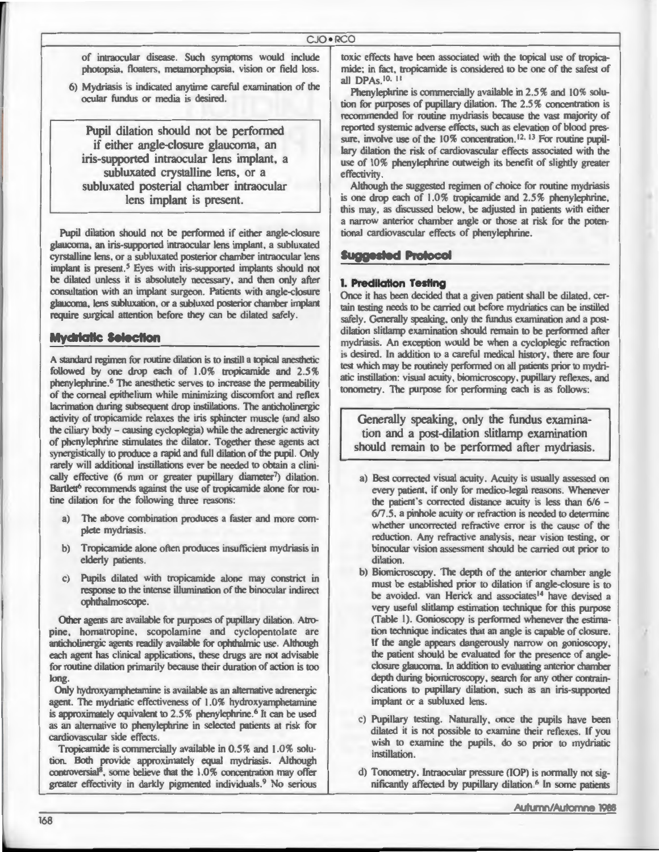of intraocular disease. Such symptoms would include photopsia, floaters, metamorphopsia, vision or field loss.

6) Mydriasis is indicated anytime careful examination of the ocular fundus or media is desired.

Pupil dilation should not be performed if either angle-closure glaucoma, an iris-supported intraocular lens implant, a subluxated crystalline lens, or a subluxated posterial chamber intraocular lens implant is present.

Pupil dilation should not be performed if either angle-closure glaucoma, an iris-supported intraocular lens implant, a subluxated cyrstalline lens, or a subluxated posterior chamber intraocular lens implant is present.<sup>5</sup> Eyes with iris-supported implants should not be dilated unless it is absolutely necessary, and then only after consultation with an implant surgeon. Patients with angle-closure glaucoma, lens subluxation, or a subluxed posterior chamber implant require surgical attention before they can be dilated safely.

#### **Mydriatic Selection**

A standard regimen for routine dilation is to instill a topical anesthetic followed by one drop each of 1.0% tropicamide and 2.5% phenylephrine.<sup>6</sup> The anesthetic serves to increase the permeability of the corneal epithelium while minimizing discomfort and reflex lacrimation during subsequent drop instillations. The anticholinergic activity of tropicamide relaxes the iris sphincter muscle (and also the ciliary body - causing cycloplegia) while the adrenergic activity of phenylephrine stimulates the dilator. Together these agents act synergistically to produce a rapid and full dilation of the pupil. Only rarely will additional instillations ever be needed to obtain a clinically effective (6 mm or greater pupillary diameter<sup>7</sup>) dilation. Bartlett<sup>6</sup> recommends against the use of tropicamide alone for routine dilation for the following three reasons:

- a) The above combination produces a faster and more complete mydriasis.
- $h$ Tropicamide alone often produces insufficient mydriasis in elderly patients.
- Pupils dilated with tropicamide alone may constrict in response to the intense illumination of the binocular indirect ophthalmoscope.

Other agents are available for purposes of pupillary dilation. Atropine, homatropine, scopolamine and cyclopentolate are anticholinergic agents readily available for ophthalmic use. Although each agent has clinical applications, these drugs are not advisable for routine dilation primarily because their duration of action is too long.

Only hydroxyamphetamine is available as an alternative adrenergic agent. The mydriatic effectiveness of 1.0% hydroxyamphetamine is approximately equivalent to 2.5% phenylephrine.<sup>6</sup> It can be used as an alternative to phenylephrine in selected patients at risk for cardiovascular side effects.

Tropicamide is commercially available in 0.5% and 1.0% solution. Both provide approximately equal mydriasis. Although controversial<sup>8</sup>, some believe that the 1.0% concentration may offer greater effectivity in darkly pigmented individuals.<sup>9</sup> No serious toxic effects have been associated with the topical use of tropicamide; in fact, tropicamide is considered to be one of the safest of all DPAs 10, 11

Phenylephrine is commercially available in 2.5% and 10% solution for purposes of pupillary dilation. The 2.5% concentration is recommended for routine mydriasis because the vast majority of reported systemic adverse effects, such as elevation of blood pressure, involve use of the 10% concentration.<sup>12, 13</sup> For routine pupillary dilation the risk of cardiovascular effects associated with the use of 10% phenylephrine outweigh its benefit of slightly greater effectivity.

Although the suggested regimen of choice for routine mydriasis is one drop each of 1.0% tropicamide and 2.5% phenylephrine, this may, as discussed below, be adjusted in patients with either a narrow anterior chamber angle or those at risk for the potentional cardiovascular effects of phenylephrine.

#### **Suggested Protocol**

#### 1. Predilation Testing

Once it has been decided that a given patient shall be dilated, certain testing needs to be carried out before mydriatics can be instilled safely. Generally speaking, only the fundus examination and a postdilation slitlamp examination should remain to be performed after mydriasis. An exception would be when a cycloplegic refraction is desired. In addition to a careful medical history, there are four test which may be routinely performed on all patients prior to mydriatic instillation: visual acuity, biomicroscopy, pupillary reflexes, and tonometry. The purpose for performing each is as follows:

Generally speaking, only the fundus examination and a post-dilation slitlamp examination should remain to be performed after mydriasis.

- a) Best corrected visual acuity. Acuity is usually assessed on every patient, if only for medico-legal reasons. Whenever the patient's corrected distance acuity is less than 6/6 -6/7.5, a pinhole acuity or refraction is needed to determine whether uncorrected refractive error is the cause of the reduction. Any refractive analysis, near vision testing, or binocular vision assessment should be carried out prior to dilation.
- b) Biomicroscopy. The depth of the anterior chamber angle must be established prior to dilation if angle-closure is to be avoided. van Herick and associates<sup>14</sup> have devised a very useful slitlamp estimation technique for this purpose (Table 1). Gonioscopy is performed whenever the estimation technique indicates that an angle is capable of closure. If the angle appears dangerously narrow on gonioscopy, the patient should be evaluated for the presence of angleclosure glaucoma. In addition to evaluating anterior chamber depth during biomicroscopy, search for any other contraindications to pupillary dilation, such as an iris-supported implant or a subluxed lens.
- c) Pupillary testing. Naturally, once the pupils have been dilated it is not possible to examine their reflexes. If you wish to examine the pupils, do so prior to mydriatic instillation.
- d) Tonometry. Intraocular pressure (IOP) is normally not significantly affected by pupillary dilation.<sup>6</sup> In some patients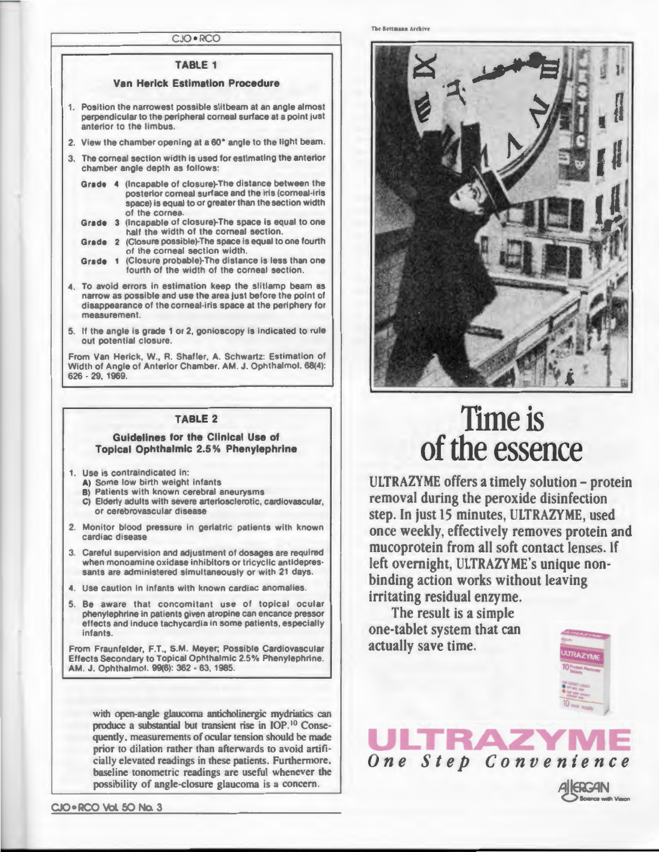#### TABLE 1

#### Van Herick Estimation Procedure

- Position the narrowest possible slitbeam at an angle almost perpendicular to the peripheral corneal surface at a point just anterior to the limbus
- 2. View the chamber opening at a 60" angle to the light beam.
- 3. The corneal section width is used for estimating the anterior chamber angle depth as follows:
	- Grade 4 (Incapable of closure)-The distance between the posterior corneal surface and the iris (corneal-iris space) is equal to or greater than the section width of the cornea
	- Grade 3 (Incapable of closure)-The space is equal to one half the width of the corneal section.
	- Grade 2 (Closure possible)-The space is equal to one fourth of the corneal section width.
	- Grade 1 (Closure probable)-The distance is less than one fourth of the width of the corneal section.
- 4. To avoid errors in estimation keep the slitlamp beam as narrow as possible and use the area just before the point of disappearance of the corneal-iris space at the periphery for measurement.
- 5. If the angle is grade 1 or 2, gonioscopy is indicated to rule out potential closure

From Van Herick, W., R. Shaffer, A. Schwartz: Estimation of Width of Angle of Anterior Chamber. AM. J. Ophthalmol. 68(4): 626 . 29, 1969.

#### TABLE 2

#### Guidelines for the Clinical Use of Topical Ophthalmic 2.5 % Phenylephrine

#### 1. Use is contraindicated in:

- A) Some low birth weight infants
- B) Patients with known cerebral aneurysms
- C) Elderly adults with severe arteriosclerotic, cardiovascular, or cerebrovascular disease
- 2. Monitor blood pressure in geriatric patients with known cardiac disease
- 3. Careful supervision and adjustment of dosages are required when monoamine oxidase inhibitors or tricyclic antidepressants are administered simultaneously or with 21 days.
- 4. Use caution in infants with known cardiac anomalies.
- 5. Be aware that concomitant use of topical ocular phenylephrine in patients given atropine can encance pressor effects and induce tachycardia in some patients, especially infants

From Fraunfelder, F.T., S.M. Meyer; Possible Cardiovascular Effects Secondary to Topical Ophthalmic 2.5% Phenylephrine. AM. J. Ophthalmol. 99(6): 362 - 63, 1985.

with open-angle glaucoma anticholinergic mydriatics can produce a substantial but transient rise in IOP.<sup>10</sup> Consequently, measurements of ocular tension should be made prior to dilation rather than afterwards to avoid artificially elevated readings in these patients. Furthermore, baseline tonometric readings are useful whenever the possibility of angle-closure glaucoma is a concern.

CJO • RCO Vol. 50 No. 3



The Rettmann Archive

## **Time is of the essence**

ULTRAZYME offers a timely solution - protein removal during the peroxide disinfection step. In just 15 minutes, ULTRAZYME, used once weekly, effectively removes protein and mucoprotein from all soft contact lenses. If left overnight, ULTRAZYME's unique nonbinding action works without leaving irritating residual enzyme.

The result is a simple one-tablet system that can actually ave time.



# *One Step Convenience*

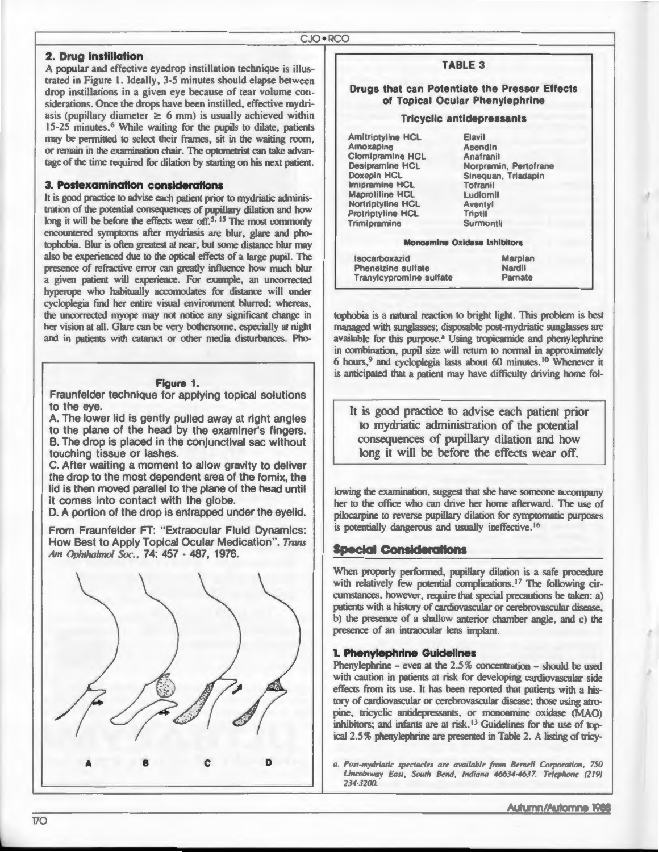#### 2. Drug instillation

A popular and effective evedrop instillation technique is illustrated in Figure 1. Ideally, 3-5 minutes should elapse between drop instillations in a given eve because of tear volume considerations. Once the drops have been instilled, effective mydriasis (pupillary diameter  $\geq 6$  mm) is usually achieved within 15-25 minutes.<sup>6</sup> While waiting for the pupils to dilate, patients may be permitted to select their frames, sit in the waiting room, or remain in the examination chair. The optometrist can take advantage of the time required for dilation by starting on his next patient.

#### 3. Postexamination considerations

It is good practice to advise each patient prior to mydriatic administration of the potential consequences of pupillary dilation and how long it will be before the effects wear off.<sup>5, 15</sup> The most commonly encountered symptoms after mydriasis are blur, glare and photophobia. Blur is often greatest at near, but some distance blur may also be experienced due to the optical effects of a large pupil. The presence of refractive error can greatly influence how much blur a given patient will experience. For example, an uncorrected hyperope who habitually accomodates for distance will under cycloplegia find her entire visual environment blurred; whereas, the uncorrected myope may not notice any significant change in her vision at all. Glare can be very bothersome, especially at night and in patients with cataract or other media disturbances. Pho-

#### Figure 1.

Fraunfelder technique for applying topical solutions to the eye.

A. The lower lid is gently pulled away at right angles to the plane of the head by the examiner's fingers. B. The drop is placed in the conjunctival sac without touching tissue or lashes.

C. After waiting a moment to allow gravity to deliver the drop to the most dependent area of the fornix, the lid is then moved parallel to the plane of the head until it comes into contact with the globe.

D. A portion of the drop is entrapped under the eyelid.

From Fraunfelder FT: "Extraocular Fluid Dynamics: How Best to Apply Topical Ocular Medication". Trans *m lulw/mol Soc.,* 74: 457 · 487, 1976.



#### TABLE 3

#### Drugs that can Potentiate the Pressor Effects of Topical Ocular Phenylephrine

#### Tricyclic antidepressants

Amitriptyline HCL Amoxapine Clomipramine HCL Desipramine HCL Doxepin HCL Imipramine HCL Maprotiline HCL Nortriptyline HCL Protriptyline HCL Trimipramine

Elavil Asendin Anafranil Norpramin, Pertofrane Sinequan, Triadapin Tofranil Ludiomil Aventyl Triptil Surmontil

#### Monoamine Oxidase Inhibitors

| Isocarboxazid                  | Marplan       |
|--------------------------------|---------------|
| Phenelzine sulfate             | <b>Nardil</b> |
| <b>Tranylcypromine sulfate</b> | Parnate       |

tophobia is a natural reaction to bright light. This problem is best managed with sunglasses; disposable post-mydriatic sunglasses are available for this purpose.<sup>ª</sup> Using tropicamide and phenylephrine in combination, pupil size will return to normal in approximately 6 hours,<sup>9</sup> and cycloplegia lasts about 60 minutes.<sup>10</sup> Whenever it is anticipated that a patient may have difficulty driving home fol-

It is good practice to advise each patient prior to mydriatic administration of the potential consequences of pupillary dilation and how long it will be before the effects wear off.

lowing the examination, suggest that she have someone accompany her to the office who can drive her home afterward. The use of pilocarpine to reverse pupillary dilation for symptomatic purposes is potentially dangerous and usually ineffective.<sup>16</sup>

#### **Special Considerations**

When properly performed, pupillary dilation is a safe procedure with relatively few potential complications.<sup>17</sup> The following circumstances, however, require that special precautions be taken: a) patients with a history of cardiovascular or cerebrovascular disease, b) the presence of a shallow anterior chamber angle, and c) the presence of an intraocular lens implant.

#### 1. Phenylephrine Guidelines

Phenylephrine - even at the 2.5% concentration - should be used with caution in patients at risk for developing cardiovascular side effects from its use. It has been reported that patients with a history of cardiovascular or cerebrovascular disease; those using atropine, tricyclic antidepressants, or monoamine oxidase (MAO) inhibitors; and infants are at risk.<sup>13</sup> Guidelines for the use of topical 2.5% phenylephrine are presented in Table 2. A listing of tricy-

*a. Post-mydriatic spectacles are available from Bernell Corporation, 750* Lincolnway East, South Bend, Indiana 46634-4637. Telephone (219) *234-3200.*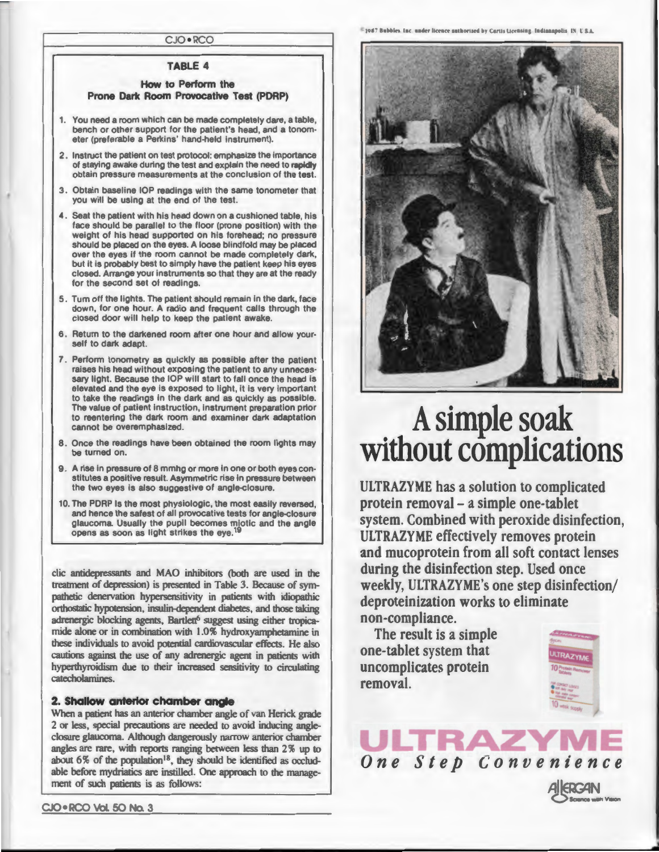CJO • RCO

#### TABLE 4

#### How to Perform the Prone Dark Room Provocative Test (PDRP)

- 1. You need a room which can be made completely dare, a table, bench or other support for the patient's head, and a tonom· eter (preferable a Perkins' hand-held instrument).
- 2. Instruct the patient on test protocol: emphasize the importance of staying awake during the test and explain the need to rapidly obtain pressure measurements at the conclusion of the test.
- 3 . Obtain baseline lOP readings with the same tonometer that you will be using at the end of the test.
- 4. Seat the patient with his head down on a cushioned table, his face should be parallel to the floor (prone position) with the weight of his head supported on his forehead; no pressure should be placed on the eyes. A loose blindfold may be placed over the eyes if the room cannot be made completely dark, but it is probably best to simply have the patient keep his eyes closed. Arrange your instruments so that they are at the ready for the second set of readings.
- 5. Turn off the lights. The patient should remain in the dark, face down, for one hour. A radio and frequent calls through the closed door will help to keep the patient awake.
- 6. Return to the darkened room after one hour and allow your· self to dark adapt.
- 7 . Perform tonometry as quickly as possible after the patient raises his head without exposing the patient to any unneces· sary light. Because the IOP will start to fall once the head is elevated and the eye is exposed to light, it is very Important to take the readings in the dark and as quickly as possible. The value of patient instruction, instrument preparation prior to reentering the dark room and examiner dark adaptation cannot be overemphasized.
- 8 . Once the readings have been obtained the room lights may be turned on.
- 9. A rise in pressure of 8 mmhg or more in one or both eyes constitutes a positive result. Asymmetric rise in pressure between the two eyes is also suggestive of angle-closure.
- 10. The PDRP Is the most physiologic, the most easily reversed, and hence the safest of all provocative tests for angle-closure glaucoma. Usually the pupil becomes miotic and the angle opens as soon as light strikes the eye.<sup>19</sup>

clic antidepressants and MAO inhibitors (both are used in the treatment of depression) is presented in Table 3. Because of sympathetic denervation hypersensitivity in patients with idiopathic orthostatic hypotension, insulin-dependent diabetes, and those taking adrenergic blocking agents, Bartlett<sup>6</sup> suggest using either tropicamide alone or in combination with 1.0% hydroxyamphetamine in these individuals to avoid potential cardiovascular effects. He also cautions against the use of any adrenergic agent in patients with hyperthyroidism due to their increased sensitivity to circulating catecholamines.

#### 2. Shallow anterior chamber angle

When a patient has an anterior chamber angle of van Herick grade 2 or less, special precautions are needed to avoid inducing angleclosure glaucoma. Although dangerously narrow anterior chamber angles are rare, with reports ranging between less than 2% up to about 6% of the population<sup>18</sup>, they should be identified as occludable before mydriatics are instilled. One approach to the management of such patients is as follows:

<sup>#</sup>1987 Bubbles, Inc. under licence authorized by Cartis Licensing, Indianapolis, IN U.S.A.



## A simple soak without complications

ULTRAZYME has a solution to complicated protein removal - a simple one-tablet system. Combined with peroxide disinfection, ULTRAZYME effectively removes protein and mucoprotein from all soft contact lenses during the disinfection step. Used once weekly, ULTRAZYME's one step disinfection/ deproteinization works to eliminate non-compliance.

*One Step Convenience* 

**TRAZV** 

The result is a simple one-tablet system that uncomplicates protein removal.



Science with Vieion

**AIKRGAN**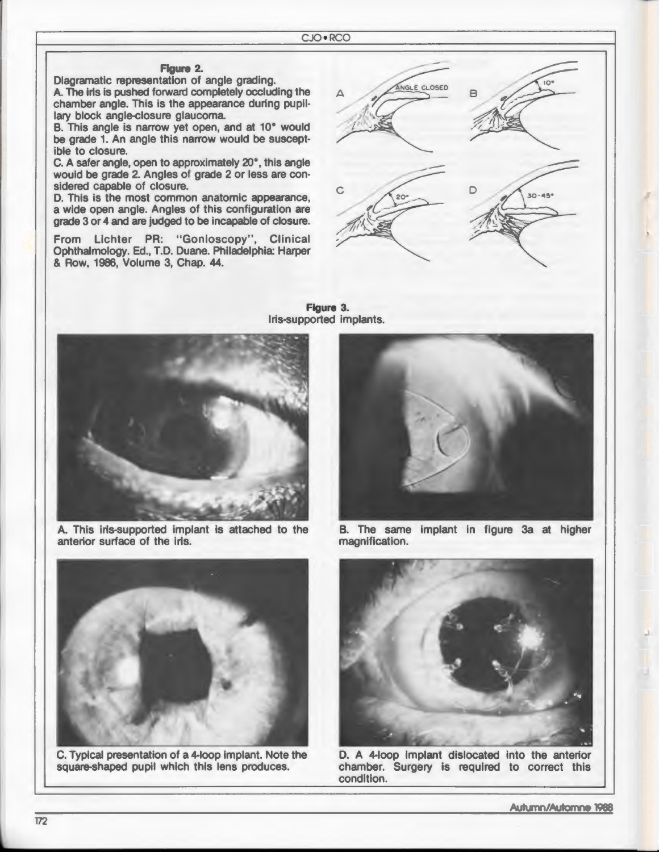**Figure 3.** 

#### **Figure 2.**

Diagramatic representation of angle grading. A. The iris is pushed forward completely occluding the chamber angle. This is the appearance during pupillary block angle-closure glaucoma.

B. This angle is narrow yet open, and at 10° would be grade 1. An angle this narrow would be susceptible to closure.

C. A safer angle, open to approximately 20° , this angle would be grade 2. Angles of grade 2 or less are considered capable of closure.

D. This is the most common anatomic appearance, a wide open angle. Angles of this configuration are grade 3 or 4 and are judged to be incapable of closure.

From Lichter PR: "Gonioscopy", Clinical Ophthalmology. Ed., T.D. Duane. Philadelphia: Harper & Row, 1986, Volume 3, Chap. 44.



Iris-supported implants.

A. This iris-supported implant is attached to the anterior surface of the iris.



C. Typical presentation of a 4-loop implant. Note the square-shaped pupil which this lens produces.



B. The same implant in figure 3a at higher magnification.



D. A 4-loop implant dislocated into the anterior chamber. Surgery is required to correct this condition.

Autumn/Automne 1988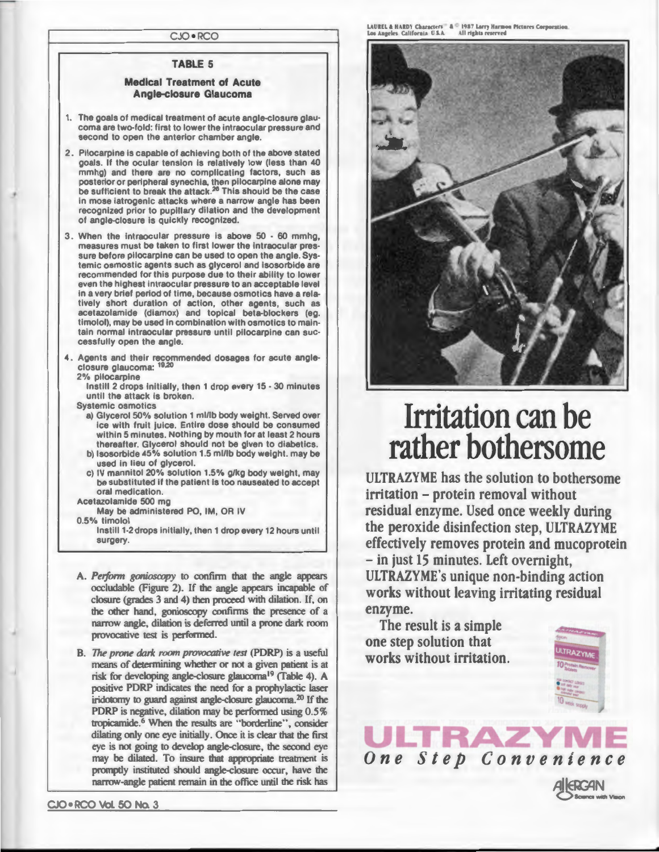CJO • RCO

#### TABLE 5

#### Medical Treatment of Acute Angle-closure Glaucoma

- 1. The goals of medical treatment of acute angle-closure glaucoma are two-fold: first to lower the intraocular pressure and second to open the anterior chamber angle.
- 2. Pilocarpine is capable of achieving both of the above stated goals. If the ocular tension is relatively low (less than 40 mmhg) and there are no complicating factors, such as posterior or peripheral synechia, then pilocarpine alone may be sufficient to break the attack.<sup>26</sup> This should be the case in mose iatrogenic attacks where a narrow angle has been recognized prior to pupillary dilation and the development of angle-closure is quickly recognized.
- 3. When the intraocular pressure is above 50 60 mmhg, measures must be taken to first lower the intraocular pressure before pilocarpine can be used to open the angle. Systemic osmostic agents such as glycerol and isosorbide are recommended for this purpose due to their ability to lower even the highest intraocular pressure to an acceptable level in a very brief period of time, because osmotics have a relatively short duration of action, other agents, such as acetazolamide (diamox) and topical beta-blockers (eg. timolol), may be used in combination with osmotics to maintain normal intraocular pressure until pilocarpine can successfully open the angle.
- 4 . Agents and their recommended dosages for acute angleclosure glaucoma: 19,20

2% pilocarpine

Instill 2 drops initially, then 1 drop every 15 - 30 minutes until the attack is broken.

Systemic osmotics

- a) Glycerol 50% solution 1 ml/lb body weight. Served over ice with fruit juice. Entire dose should be consumed within 5 minutes. Nothing by mouth for at least 2 hours thereafter. Glycerol should not be given to diabetics. b) lsosorbide 45% solution 1.5 ml/lb body weight. may be
- used in lieu of glycerol.
- c) IV mannitol 20% solution 1.5% g/kg body weight, may be substituted if the patient is too nauseated to accept oral medication.
- Acetazolamide 500 mg May be administered PO, IM, OR IV
- 0.5% timolol

Instill 1-2 drops initially, then 1 drop every 12 hours until surgery.

- A. Perform gonioscopy to confirm that the angle appears occludable (Figure 2). If the angle appears incapable of closure (grades 3 and 4) then proceed with dilation. If, on the other hand, gonioscopy confirms the presence of a narrow angle, dilation is deferred until a prone dark room provocative test is performed.
- B. *The prone dark room provocative test* (PDRP) is a useful means of determining whether or not a given patient is at risk for developing angle-closure glaucoma<sup>19</sup> (Table 4). A positive PDRP indicates the need for a prophylactic laser iridotomy to guard against angle-closure glaucoma.<sup>20</sup> If the PDRP is negative, dilation may be performed using  $0.5\%$ tropicamide.<sup>6</sup> When the results are "borderline", consider dilating only one eye initially. Once it is clear that the first eye is not going to develop angle-closure, the second eye may be dilated. To insure that appropriate treatment is promptly instituted should angle-closure occur, have the narrow-angle patient remain in the office until the risk has

CJO • RCO Vol. 50 No. 3

LAUREL & HARDY Characters = & © 1987 Larry Harmon Pictures Corporation.<br>Los Angeles. California. U.S.A. All rights reserved.



## **Irritation can be rather bothersome**

ULTRAZYME has the solution to bothersome irritation - protein removal without residual enzyme. Used once weekly during the peroxide disinfection step, ULTRAZYME effectively removes protein and mucoprotein  $-$  in just 15 minutes. Left overnight, ULTRAZYME's unique non-binding action works without leaving irritating residual enzyme.

*One Step Convenience* 

The result is a simple one step solution that works without irritation.



Science with Viecn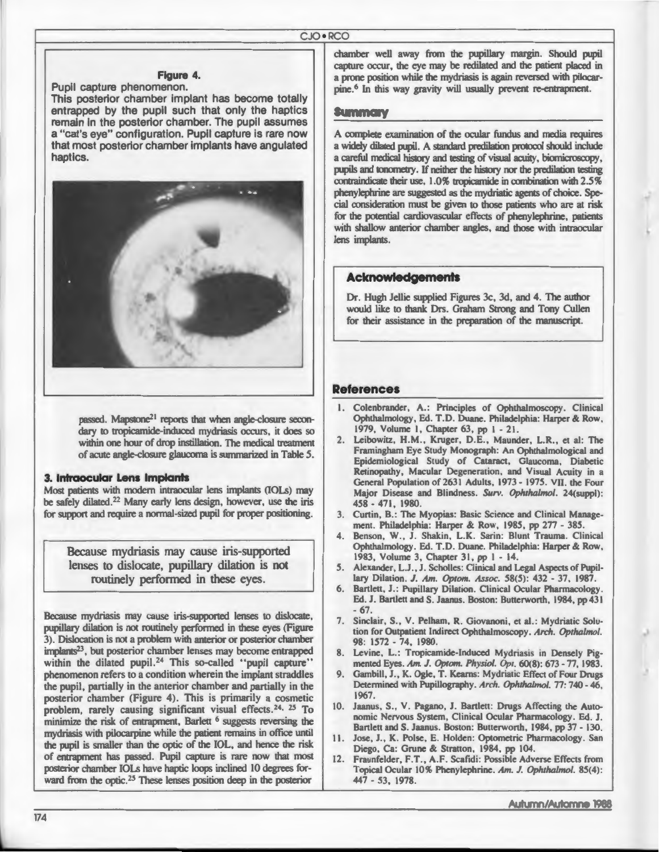#### **Figure 4.**

Pupil capture phenomenon. This posterior chamber implant has become totally entrapped by the pupil such that only the haptics remain in the posterior chamber. The pupil assumes a "eat's eye" configuration. Pupil capture is rare now that most posterior chamber implants have angulated haptics.



passed. Mapstone<sup>21</sup> reports that when angle-closure secondary to tropicamide-induced mydriasis occurs, it does so within one hour of drop instillation. The medical treatment of acute angle-closure glaucoma is summarized in Table 5.

#### **3. Intraocular Lens Implants**

Most patients with modern intraocular lens implants (IOLs) may be safely dilated.<sup>22</sup> Many early lens design, however, use the iris for support and require a normal-sized pupil for proper positioning.

Because mydriasis may cause iris-supported lenses to dislocate, pupillary dilation is not routinely performed in these eyes.

Because mydriasis may cause iris-supported lenses to dislocate, pupillary dilation is not routinely performed in these eyes (Figure 3). Dislocation is not a problem with anterior or posterior chamber implants<sup>23</sup>, but posterior chamber lenses may become entrapped within the dilated pupil.<sup>24</sup> This so-called "pupil capture" phenomenon refers to a condition wherein the implant straddles the pupil, partially in the anterior chamber and partially in the posterior chamber (Figure 4). This is primarily a cosmetic problem, rarely causing significant visual effects.<sup>24, 25</sup> To minimize the risk of entrapment, Barlett <sup>6</sup> suggests reversing the mydriasis with pilocarpine while the patient remains in office until the pupil is smaller than the optic of the IOL, and hence the risk of entrapment has passed. Pupil capture is rare now that most posterior chamber IOLs have haptic loops inclined 10 degrees forward from the optic.<sup>25</sup> These lenses position deep in the posterior

chamber well away from the pupillary margin. Should pupil capture occur, the eye may be redilated and the patient placed in a prone position while the mydriasis is again reversed with pilocarpine.<sup>6</sup> In this way gravity will usually prevent re-entrapment.

#### **Summary**

A complete examination of the ocular fundus and media requires a widely dilated pupil. A standard predilation protocol should include a careful medical history and testing of visual acuity, biomicroscopy, pupils and tonometry. If neither the history nor the predilation testing contraindicate their use, 1.0% tropicamide in combination with 2.5% phenylephrine are suggested as the mydriatic agents of choice. Special consideration must be given to those patients who are at risk for the potential cardiovascular effects of phenylephrine, patients with shallow anterior chamber angles, and those with intraocular lens implants.

#### **Acknowledgements**

Dr. Hugh Jellie supplied Figures 3c, 3d, and 4. The author would like to thank Drs. Graham Strong and Tony Cullen for their assistance in the preparation of the manuscript.

#### **References**

- 1. Colenbrander, A.: Principles of Ophthalmoscopy. Clinical Ophthalmology, Ed. T.D. Duane. Philadelphia: Harper & Row, 1979, Volume 1, Chapter 63, pp 1 - 21.
- 2. Leibowitz, H.M., Kruger, D.E., Maunder, L.R., et al: The Framingham Eye Study Monograph: An Ophthalmological and Epidemiological Study of Cataract, Glaucoma, Diabetic Retinopathy, Macular Degeneration, and Visual Acuity in a General Population of 2631 Adults, 1973 - 1975. VII. the Four Major Disease and Blindness. Surv. Ophthalmol. 24(suppl): 458 - 471, 1980.
- 3. Curtin, B.: The Myopias: Basic Science and Clinical Management. Philadelphia: Harper & Row, 1985, pp 277 - 385.
- 4. Benson, W., J. Shakin, L.K. Sarin: Blunt Trauma. Clinical Ophthalmology. Ed. T.D. Duane. Philadelphia: Harper & Row, 1983, Volume 3, Chapter 31, pp 1 - 14.
- 5. Alexander, L.J., J. Scholles: Clinical and Legal Aspects of Pupillary Dilation. J. Am. Optom. Assoc. 58(5): 432 - 37, 1987.
- 6. Bartlett, J.: Pupillary Dilation. Clinical Ocular Pharmacology. Ed. J. Bartlett and S. Jaanus. Boston: Butterworth, 1984, pp 431 - 67 .
- 7. Sinclair, S., V. Pelham, R. Giovanoni, et al.: Mydriatic Solution for Outpatient Indirect Ophthalmoscopy. Arch. Opthalmol. 98: 1572 - 74, 1980.
- 8. Levine, L.: Tropicamide-Induced Mydriasis in Densely Pigmented Eyes. Am. J. Optom. Physiol. Opt. 60(8): 673 - 77, 1983.
- Gambill, J., K. Ogle, T. Kearns: Mydriatic Effect of Four Drugs Determined with Pupillography. *Arch. Ophthalmol.* 77: 740 - 46, 1967.
- 10. Jaanus, S., V. Pagano, J. Bartlett: Drugs Affecting the Autonomic Nervous System, Clinical Ocular Pharmacology. Ed. J. Bartlett and S. Jaanus. Boston: Butterworth, 1984, pp 37 - 130.
- 11. Jose, J., K. Polse, E. Holden: Optometric Pharmacology. San Diego, Ca: Grune & Stratton, 1984, pp 104.
- 12. Fraunfelder, F.T., A.F. Scafidi: Possible Adverse Effects from Topical Ocular 10% Phenylephrine. Am. J. Ophthalmol. 85(4): 447 - 53, 1978.

Autumn/Automne 1988